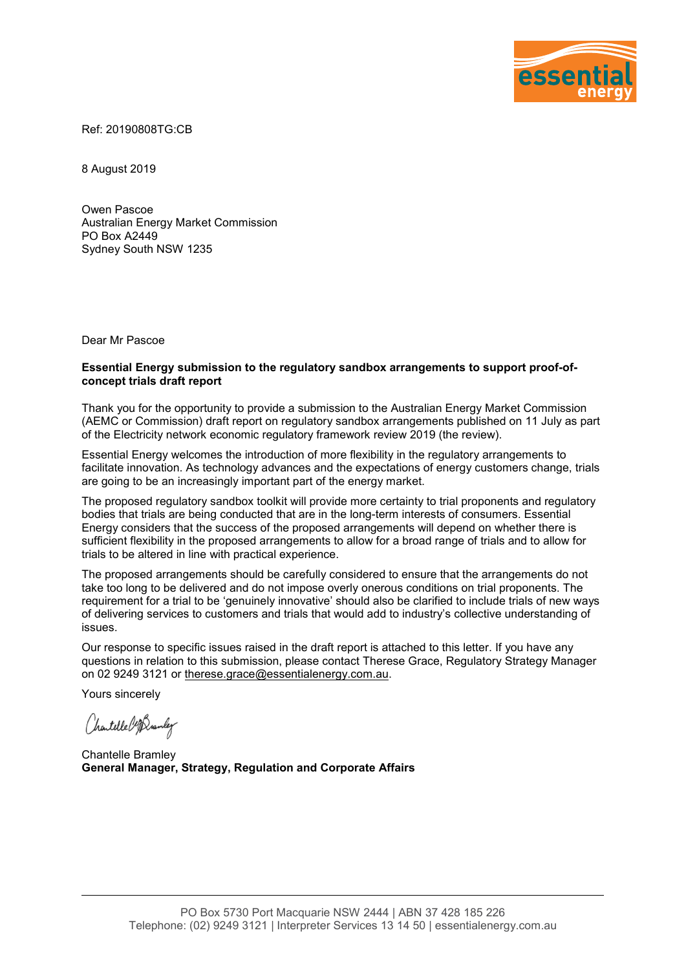

Ref: 20190808TG:CB

8 August 2019

Owen Pascoe Australian Energy Market Commission PO Box A2449 Sydney South NSW 1235

Dear Mr Pascoe

#### **Essential Energy submission to the regulatory sandbox arrangements to support proof-ofconcept trials draft report**

Thank you for the opportunity to provide a submission to the Australian Energy Market Commission (AEMC or Commission) draft report on regulatory sandbox arrangements published on 11 July as part of the Electricity network economic regulatory framework review 2019 (the review).

Essential Energy welcomes the introduction of more flexibility in the regulatory arrangements to facilitate innovation. As technology advances and the expectations of energy customers change, trials are going to be an increasingly important part of the energy market.

The proposed regulatory sandbox toolkit will provide more certainty to trial proponents and regulatory bodies that trials are being conducted that are in the long-term interests of consumers. Essential Energy considers that the success of the proposed arrangements will depend on whether there is sufficient flexibility in the proposed arrangements to allow for a broad range of trials and to allow for trials to be altered in line with practical experience.

The proposed arrangements should be carefully considered to ensure that the arrangements do not take too long to be delivered and do not impose overly onerous conditions on trial proponents. The requirement for a trial to be 'genuinely innovative' should also be clarified to include trials of new ways of delivering services to customers and trials that would add to industry's collective understanding of issues.

Our response to specific issues raised in the draft report is attached to this letter. If you have any questions in relation to this submission, please contact Therese Grace, Regulatory Strategy Manager on 02 9249 3121 or [therese.grace@essentialenergy.com.au.](mailto:therese.grace@essentialenergy.com.au)

Yours sincerely

Chartelle Cof Dramley

Chantelle Bramley **General Manager, Strategy, Regulation and Corporate Affairs**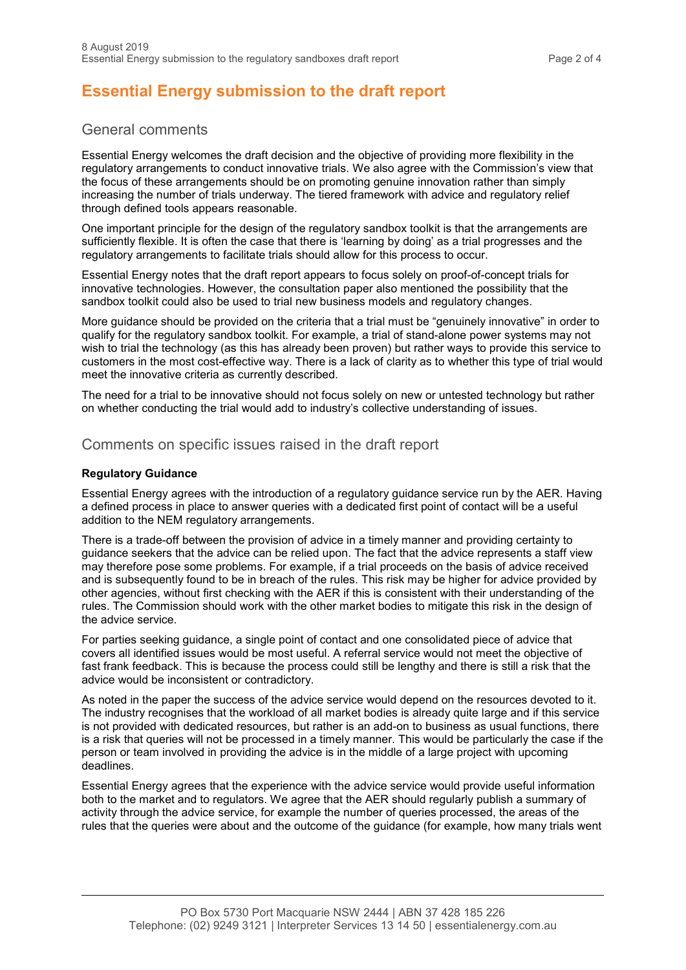# **Essential Energy submission to the draft report**

## General comments

Essential Energy welcomes the draft decision and the objective of providing more flexibility in the regulatory arrangements to conduct innovative trials. We also agree with the Commission's view that the focus of these arrangements should be on promoting genuine innovation rather than simply increasing the number of trials underway. The tiered framework with advice and regulatory relief through defined tools appears reasonable.

One important principle for the design of the regulatory sandbox toolkit is that the arrangements are sufficiently flexible. It is often the case that there is 'learning by doing' as a trial progresses and the regulatory arrangements to facilitate trials should allow for this process to occur.

Essential Energy notes that the draft report appears to focus solely on proof-of-concept trials for innovative technologies. However, the consultation paper also mentioned the possibility that the sandbox toolkit could also be used to trial new business models and regulatory changes.

More guidance should be provided on the criteria that a trial must be "genuinely innovative" in order to qualify for the regulatory sandbox toolkit. For example, a trial of stand-alone power systems may not wish to trial the technology (as this has already been proven) but rather ways to provide this service to customers in the most cost-effective way. There is a lack of clarity as to whether this type of trial would meet the innovative criteria as currently described.

The need for a trial to be innovative should not focus solely on new or untested technology but rather on whether conducting the trial would add to industry's collective understanding of issues.

## Comments on specific issues raised in the draft report

## **Regulatory Guidance**

Essential Energy agrees with the introduction of a regulatory guidance service run by the AER. Having a defined process in place to answer queries with a dedicated first point of contact will be a useful addition to the NEM regulatory arrangements.

There is a trade-off between the provision of advice in a timely manner and providing certainty to guidance seekers that the advice can be relied upon. The fact that the advice represents a staff view may therefore pose some problems. For example, if a trial proceeds on the basis of advice received and is subsequently found to be in breach of the rules. This risk may be higher for advice provided by other agencies, without first checking with the AER if this is consistent with their understanding of the rules. The Commission should work with the other market bodies to mitigate this risk in the design of the advice service.

For parties seeking guidance, a single point of contact and one consolidated piece of advice that covers all identified issues would be most useful. A referral service would not meet the objective of fast frank feedback. This is because the process could still be lengthy and there is still a risk that the advice would be inconsistent or contradictory.

As noted in the paper the success of the advice service would depend on the resources devoted to it. The industry recognises that the workload of all market bodies is already quite large and if this service is not provided with dedicated resources, but rather is an add-on to business as usual functions, there is a risk that queries will not be processed in a timely manner. This would be particularly the case if the person or team involved in providing the advice is in the middle of a large project with upcoming deadlines.

Essential Energy agrees that the experience with the advice service would provide useful information both to the market and to regulators. We agree that the AER should regularly publish a summary of activity through the advice service, for example the number of queries processed, the areas of the rules that the queries were about and the outcome of the guidance (for example, how many trials went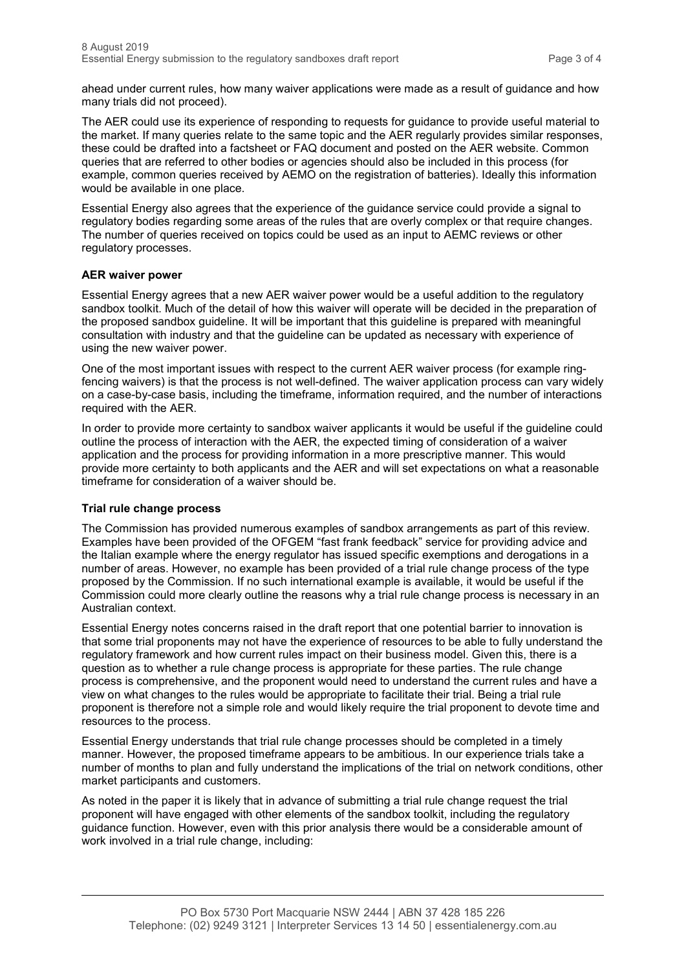ahead under current rules, how many waiver applications were made as a result of guidance and how many trials did not proceed).

The AER could use its experience of responding to requests for guidance to provide useful material to the market. If many queries relate to the same topic and the AER regularly provides similar responses, these could be drafted into a factsheet or FAQ document and posted on the AER website. Common queries that are referred to other bodies or agencies should also be included in this process (for example, common queries received by AEMO on the registration of batteries). Ideally this information would be available in one place.

Essential Energy also agrees that the experience of the guidance service could provide a signal to regulatory bodies regarding some areas of the rules that are overly complex or that require changes. The number of queries received on topics could be used as an input to AEMC reviews or other regulatory processes.

## **AER waiver power**

Essential Energy agrees that a new AER waiver power would be a useful addition to the regulatory sandbox toolkit. Much of the detail of how this waiver will operate will be decided in the preparation of the proposed sandbox guideline. It will be important that this guideline is prepared with meaningful consultation with industry and that the guideline can be updated as necessary with experience of using the new waiver power.

One of the most important issues with respect to the current AER waiver process (for example ringfencing waivers) is that the process is not well-defined. The waiver application process can vary widely on a case-by-case basis, including the timeframe, information required, and the number of interactions required with the AER.

In order to provide more certainty to sandbox waiver applicants it would be useful if the guideline could outline the process of interaction with the AER, the expected timing of consideration of a waiver application and the process for providing information in a more prescriptive manner. This would provide more certainty to both applicants and the AER and will set expectations on what a reasonable timeframe for consideration of a waiver should be.

#### **Trial rule change process**

The Commission has provided numerous examples of sandbox arrangements as part of this review. Examples have been provided of the OFGEM "fast frank feedback" service for providing advice and the Italian example where the energy regulator has issued specific exemptions and derogations in a number of areas. However, no example has been provided of a trial rule change process of the type proposed by the Commission. If no such international example is available, it would be useful if the Commission could more clearly outline the reasons why a trial rule change process is necessary in an Australian context.

Essential Energy notes concerns raised in the draft report that one potential barrier to innovation is that some trial proponents may not have the experience of resources to be able to fully understand the regulatory framework and how current rules impact on their business model. Given this, there is a question as to whether a rule change process is appropriate for these parties. The rule change process is comprehensive, and the proponent would need to understand the current rules and have a view on what changes to the rules would be appropriate to facilitate their trial. Being a trial rule proponent is therefore not a simple role and would likely require the trial proponent to devote time and resources to the process.

Essential Energy understands that trial rule change processes should be completed in a timely manner. However, the proposed timeframe appears to be ambitious. In our experience trials take a number of months to plan and fully understand the implications of the trial on network conditions, other market participants and customers.

As noted in the paper it is likely that in advance of submitting a trial rule change request the trial proponent will have engaged with other elements of the sandbox toolkit, including the regulatory guidance function. However, even with this prior analysis there would be a considerable amount of work involved in a trial rule change, including: